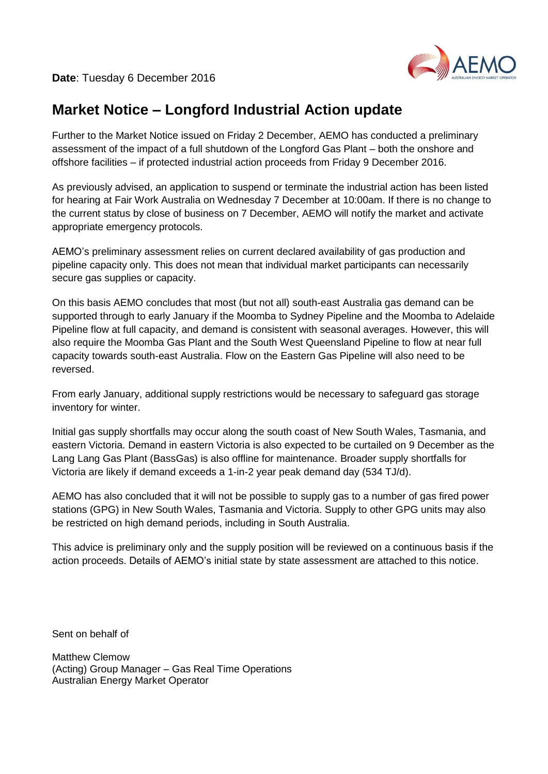

# **Market Notice – Longford Industrial Action update**

Further to the Market Notice issued on Friday 2 December, AEMO has conducted a preliminary assessment of the impact of a full shutdown of the Longford Gas Plant – both the onshore and offshore facilities – if protected industrial action proceeds from Friday 9 December 2016.

As previously advised, an application to suspend or terminate the industrial action has been listed for hearing at Fair Work Australia on Wednesday 7 December at 10:00am. If there is no change to the current status by close of business on 7 December, AEMO will notify the market and activate appropriate emergency protocols.

AEMO's preliminary assessment relies on current declared availability of gas production and pipeline capacity only. This does not mean that individual market participants can necessarily secure gas supplies or capacity.

On this basis AEMO concludes that most (but not all) south-east Australia gas demand can be supported through to early January if the Moomba to Sydney Pipeline and the Moomba to Adelaide Pipeline flow at full capacity, and demand is consistent with seasonal averages. However, this will also require the Moomba Gas Plant and the South West Queensland Pipeline to flow at near full capacity towards south-east Australia. Flow on the Eastern Gas Pipeline will also need to be reversed.

From early January, additional supply restrictions would be necessary to safeguard gas storage inventory for winter.

Initial gas supply shortfalls may occur along the south coast of New South Wales, Tasmania, and eastern Victoria. Demand in eastern Victoria is also expected to be curtailed on 9 December as the Lang Lang Gas Plant (BassGas) is also offline for maintenance. Broader supply shortfalls for Victoria are likely if demand exceeds a 1-in-2 year peak demand day (534 TJ/d).

AEMO has also concluded that it will not be possible to supply gas to a number of gas fired power stations (GPG) in New South Wales, Tasmania and Victoria. Supply to other GPG units may also be restricted on high demand periods, including in South Australia.

This advice is preliminary only and the supply position will be reviewed on a continuous basis if the action proceeds. Details of AEMO's initial state by state assessment are attached to this notice.

Sent on behalf of

Matthew Clemow (Acting) Group Manager – Gas Real Time Operations Australian Energy Market Operator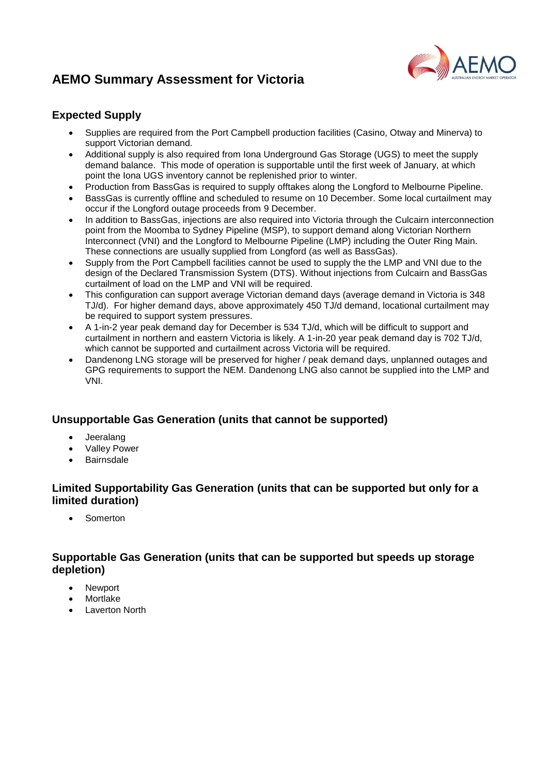# **AEMO Summary Assessment for Victoria**



### **Expected Supply**

- Supplies are required from the Port Campbell production facilities (Casino, Otway and Minerva) to support Victorian demand.
- Additional supply is also required from Iona Underground Gas Storage (UGS) to meet the supply demand balance. This mode of operation is supportable until the first week of January, at which point the Iona UGS inventory cannot be replenished prior to winter.
- Production from BassGas is required to supply offtakes along the Longford to Melbourne Pipeline.
- BassGas is currently offline and scheduled to resume on 10 December. Some local curtailment may occur if the Longford outage proceeds from 9 December.
- In addition to BassGas, injections are also required into Victoria through the Culcairn interconnection point from the Moomba to Sydney Pipeline (MSP), to support demand along Victorian Northern Interconnect (VNI) and the Longford to Melbourne Pipeline (LMP) including the Outer Ring Main. These connections are usually supplied from Longford (as well as BassGas).
- Supply from the Port Campbell facilities cannot be used to supply the the LMP and VNI due to the design of the Declared Transmission System (DTS). Without injections from Culcairn and BassGas curtailment of load on the LMP and VNI will be required.
- This configuration can support average Victorian demand days (average demand in Victoria is 348 TJ/d). For higher demand days, above approximately 450 TJ/d demand, locational curtailment may be required to support system pressures.
- A 1-in-2 year peak demand day for December is 534 TJ/d, which will be difficult to support and curtailment in northern and eastern Victoria is likely. A 1-in-20 year peak demand day is 702 TJ/d, which cannot be supported and curtailment across Victoria will be required.
- Dandenong LNG storage will be preserved for higher / peak demand days, unplanned outages and GPG requirements to support the NEM. Dandenong LNG also cannot be supplied into the LMP and VNI.

### **Unsupportable Gas Generation (units that cannot be supported)**

- Jeeralang
- Valley Power
- Bairnsdale

### **Limited Supportability Gas Generation (units that can be supported but only for a limited duration)**

Somerton

#### **Supportable Gas Generation (units that can be supported but speeds up storage depletion)**

- Newport
- Mortlake
- Laverton North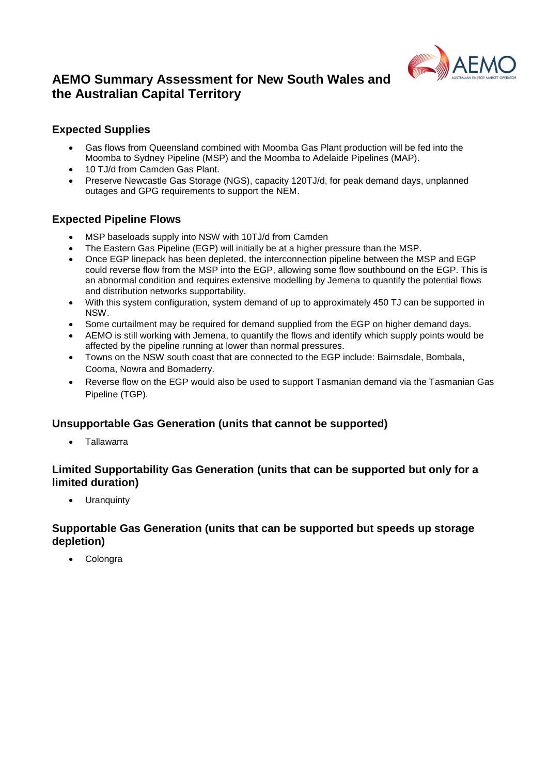

## **AEMO Summary Assessment for New South Wales and the Australian Capital Territory**

### **Expected Supplies**

- Gas flows from Queensland combined with Moomba Gas Plant production will be fed into the Moomba to Sydney Pipeline (MSP) and the Moomba to Adelaide Pipelines (MAP).
- 10 TJ/d from Camden Gas Plant.
- Preserve Newcastle Gas Storage (NGS), capacity 120TJ/d, for peak demand days, unplanned outages and GPG requirements to support the NEM.

### **Expected Pipeline Flows**

- MSP baseloads supply into NSW with 10TJ/d from Camden
- The Eastern Gas Pipeline (EGP) will initially be at a higher pressure than the MSP.
- Once EGP linepack has been depleted, the interconnection pipeline between the MSP and EGP could reverse flow from the MSP into the EGP, allowing some flow southbound on the EGP. This is an abnormal condition and requires extensive modelling by Jemena to quantify the potential flows and distribution networks supportability.
- With this system configuration, system demand of up to approximately 450 TJ can be supported in NSW.
- Some curtailment may be required for demand supplied from the EGP on higher demand days.
- AEMO is still working with Jemena, to quantify the flows and identify which supply points would be affected by the pipeline running at lower than normal pressures.
- Towns on the NSW south coast that are connected to the EGP include: Bairnsdale, Bombala, Cooma, Nowra and Bomaderry.
- Reverse flow on the EGP would also be used to support Tasmanian demand via the Tasmanian Gas Pipeline (TGP).

#### **Unsupportable Gas Generation (units that cannot be supported)**

Tallawarra

#### **Limited Supportability Gas Generation (units that can be supported but only for a limited duration)**

• Uranquinty

#### **Supportable Gas Generation (units that can be supported but speeds up storage depletion)**

Colongra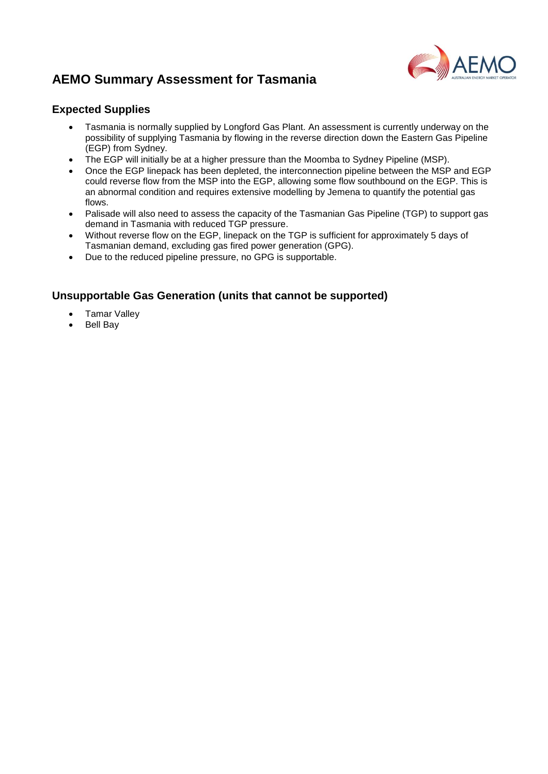# **AEMO Summary Assessment for Tasmania**



### **Expected Supplies**

- Tasmania is normally supplied by Longford Gas Plant. An assessment is currently underway on the possibility of supplying Tasmania by flowing in the reverse direction down the Eastern Gas Pipeline (EGP) from Sydney.
- The EGP will initially be at a higher pressure than the Moomba to Sydney Pipeline (MSP).
- Once the EGP linepack has been depleted, the interconnection pipeline between the MSP and EGP could reverse flow from the MSP into the EGP, allowing some flow southbound on the EGP. This is an abnormal condition and requires extensive modelling by Jemena to quantify the potential gas flows.
- Palisade will also need to assess the capacity of the Tasmanian Gas Pipeline (TGP) to support gas demand in Tasmania with reduced TGP pressure.
- Without reverse flow on the EGP, linepack on the TGP is sufficient for approximately 5 days of Tasmanian demand, excluding gas fired power generation (GPG).
- Due to the reduced pipeline pressure, no GPG is supportable.

### **Unsupportable Gas Generation (units that cannot be supported)**

- Tamar Valley
- Bell Bay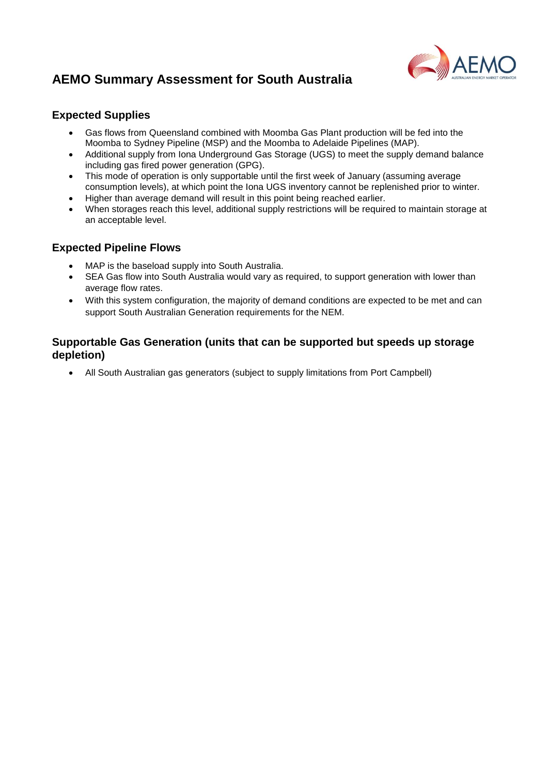# **AEMO Summary Assessment for South Australia**



### **Expected Supplies**

- Gas flows from Queensland combined with Moomba Gas Plant production will be fed into the Moomba to Sydney Pipeline (MSP) and the Moomba to Adelaide Pipelines (MAP).
- Additional supply from Iona Underground Gas Storage (UGS) to meet the supply demand balance including gas fired power generation (GPG).
- This mode of operation is only supportable until the first week of January (assuming average consumption levels), at which point the Iona UGS inventory cannot be replenished prior to winter.
- Higher than average demand will result in this point being reached earlier.
- When storages reach this level, additional supply restrictions will be required to maintain storage at an acceptable level.

### **Expected Pipeline Flows**

- MAP is the baseload supply into South Australia.
- SEA Gas flow into South Australia would vary as required, to support generation with lower than average flow rates.
- With this system configuration, the majority of demand conditions are expected to be met and can support South Australian Generation requirements for the NEM.

### **Supportable Gas Generation (units that can be supported but speeds up storage depletion)**

All South Australian gas generators (subject to supply limitations from Port Campbell)